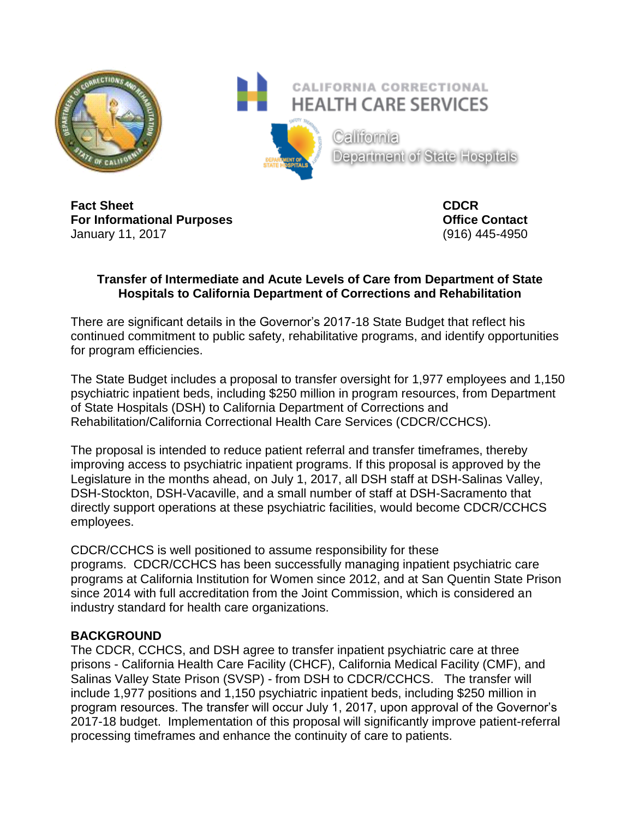

**Fact Sheet CDCR For Informational Purposes Contact Contact** January 11, 2017 (916) 445-4950

## **Transfer of Intermediate and Acute Levels of Care from Department of State Hospitals to California Department of Corrections and Rehabilitation**

There are significant details in the Governor's 2017-18 State Budget that reflect his continued commitment to public safety, rehabilitative programs, and identify opportunities for program efficiencies.

The State Budget includes a proposal to transfer oversight for 1,977 employees and 1,150 psychiatric inpatient beds, including \$250 million in program resources, from Department of State Hospitals (DSH) to California Department of Corrections and Rehabilitation/California Correctional Health Care Services (CDCR/CCHCS).

The proposal is intended to reduce patient referral and transfer timeframes, thereby improving access to psychiatric inpatient programs. If this proposal is approved by the Legislature in the months ahead, on July 1, 2017, all DSH staff at DSH-Salinas Valley, DSH-Stockton, DSH-Vacaville, and a small number of staff at DSH-Sacramento that directly support operations at these psychiatric facilities, would become CDCR/CCHCS employees.

CDCR/CCHCS is well positioned to assume responsibility for these programs. CDCR/CCHCS has been successfully managing inpatient psychiatric care programs at California Institution for Women since 2012, and at San Quentin State Prison since 2014 with full accreditation from the Joint Commission, which is considered an industry standard for health care organizations.

## **BACKGROUND**

The CDCR, CCHCS, and DSH agree to transfer inpatient psychiatric care at three prisons - California Health Care Facility (CHCF), California Medical Facility (CMF), and Salinas Valley State Prison (SVSP) - from DSH to CDCR/CCHCS. The transfer will include 1,977 positions and 1,150 psychiatric inpatient beds, including \$250 million in program resources. The transfer will occur July 1, 2017, upon approval of the Governor's 2017-18 budget. Implementation of this proposal will significantly improve patient-referral processing timeframes and enhance the continuity of care to patients.